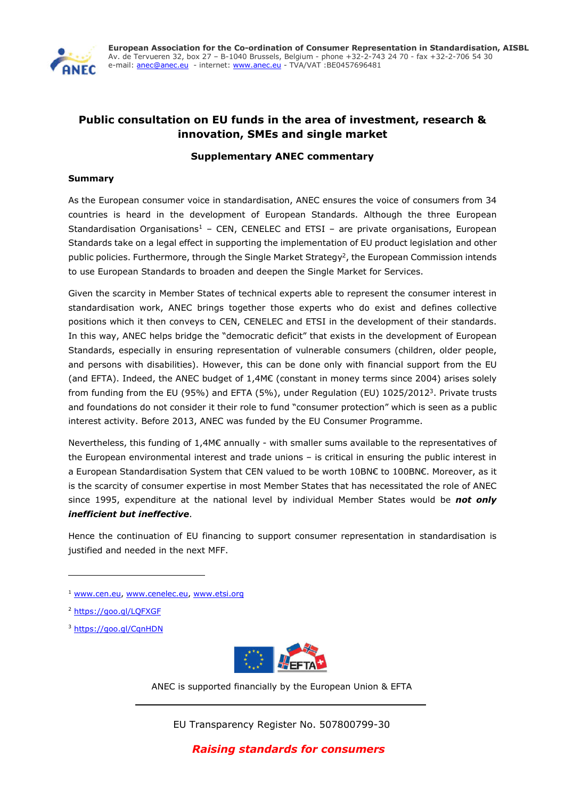

# **Public consultation on EU funds in the area of investment, research & innovation, SMEs and single market**

## **Supplementary ANEC commentary**

### **Summary**

As the European consumer voice in standardisation, ANEC ensures the voice of consumers from 34 countries is heard in the development of European Standards. Although the three European Standardisation Organisations<sup>1</sup> – CEN, CENELEC and ETSI – are private organisations, European Standards take on a legal effect in supporting the implementation of EU product legislation and other public policies. Furthermore, through the Single Market Strategy<sup>2</sup>, the European Commission intends to use European Standards to broaden and deepen the Single Market for Services.

Given the scarcity in Member States of technical experts able to represent the consumer interest in standardisation work, ANEC brings together those experts who do exist and defines collective positions which it then conveys to CEN, CENELEC and ETSI in the development of their standards. In this way, ANEC helps bridge the "democratic deficit" that exists in the development of European Standards, especially in ensuring representation of vulnerable consumers (children, older people, and persons with disabilities). However, this can be done only with financial support from the EU (and EFTA). Indeed, the ANEC budget of 1,4M€ (constant in money terms since 2004) arises solely from funding from the EU (95%) and EFTA (5%), under Regulation (EU) 1025/20123. Private trusts and foundations do not consider it their role to fund "consumer protection" which is seen as a public interest activity. Before 2013, ANEC was funded by the EU Consumer Programme.

Nevertheless, this funding of 1,4M€ annually - with smaller sums available to the representatives of the European environmental interest and trade unions – is critical in ensuring the public interest in a European Standardisation System that CEN valued to be worth 10BN€ to 100BN€. Moreover, as it is the scarcity of consumer expertise in most Member States that has necessitated the role of ANEC since 1995, expenditure at the national level by individual Member States would be *not only inefficient but ineffective*.

Hence the continuation of EU financing to support consumer representation in standardisation is justified and needed in the next MFF.

1

<sup>3</sup> https://goo.gl/CqnHDN



ANEC is supported financially by the European Union & EFTA

EU Transparency Register No. 507800799-30

<sup>&</sup>lt;sup>1</sup> www.cen.eu, www.cenelec.eu, www.etsi.org

<sup>2</sup> https://goo.gl/LQFXGF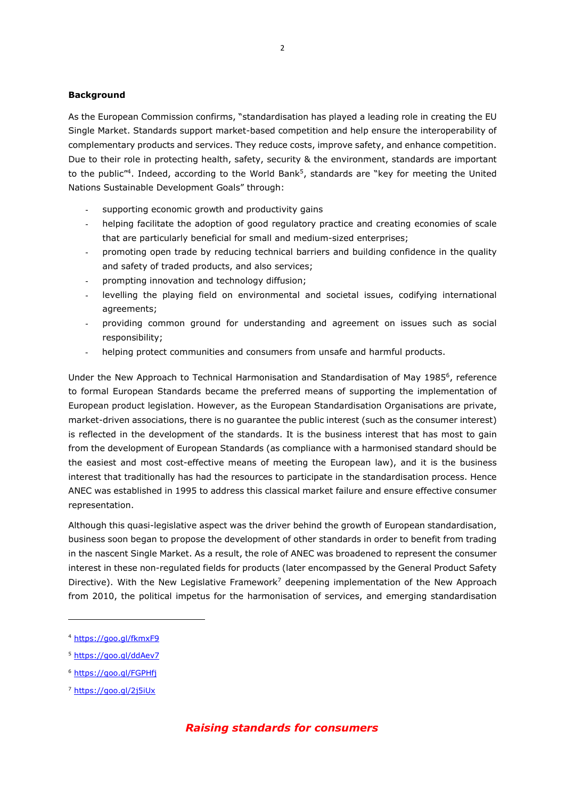#### **Background**

As the European Commission confirms, "standardisation has played a leading role in creating the EU Single Market. Standards support market-based competition and help ensure the interoperability of complementary products and services. They reduce costs, improve safety, and enhance competition. Due to their role in protecting health, safety, security & the environment, standards are important to the public<sup>"4</sup>. Indeed, according to the World Bank<sup>5</sup>, standards are "key for meeting the United Nations Sustainable Development Goals" through:

- supporting economic growth and productivity gains
- helping facilitate the adoption of good regulatory practice and creating economies of scale that are particularly beneficial for small and medium-sized enterprises;
- promoting open trade by reducing technical barriers and building confidence in the quality and safety of traded products, and also services;
- prompting innovation and technology diffusion;
- levelling the playing field on environmental and societal issues, codifying international agreements;
- providing common ground for understanding and agreement on issues such as social responsibility;
- helping protect communities and consumers from unsafe and harmful products.

Under the New Approach to Technical Harmonisation and Standardisation of May 19856, reference to formal European Standards became the preferred means of supporting the implementation of European product legislation. However, as the European Standardisation Organisations are private, market-driven associations, there is no guarantee the public interest (such as the consumer interest) is reflected in the development of the standards. It is the business interest that has most to gain from the development of European Standards (as compliance with a harmonised standard should be the easiest and most cost-effective means of meeting the European law), and it is the business interest that traditionally has had the resources to participate in the standardisation process. Hence ANEC was established in 1995 to address this classical market failure and ensure effective consumer representation.

Although this quasi-legislative aspect was the driver behind the growth of European standardisation, business soon began to propose the development of other standards in order to benefit from trading in the nascent Single Market. As a result, the role of ANEC was broadened to represent the consumer interest in these non-regulated fields for products (later encompassed by the General Product Safety Directive). With the New Legislative Framework<sup>7</sup> deepening implementation of the New Approach from 2010, the political impetus for the harmonisation of services, and emerging standardisation

**.** 

## *Raising standards for consumers*

<sup>4</sup> https://goo.gl/fkmxF9

<sup>5</sup> https://goo.gl/ddAev7

<sup>6</sup> https://goo.gl/FGPHfj

<sup>7</sup> https://goo.gl/2j5iUx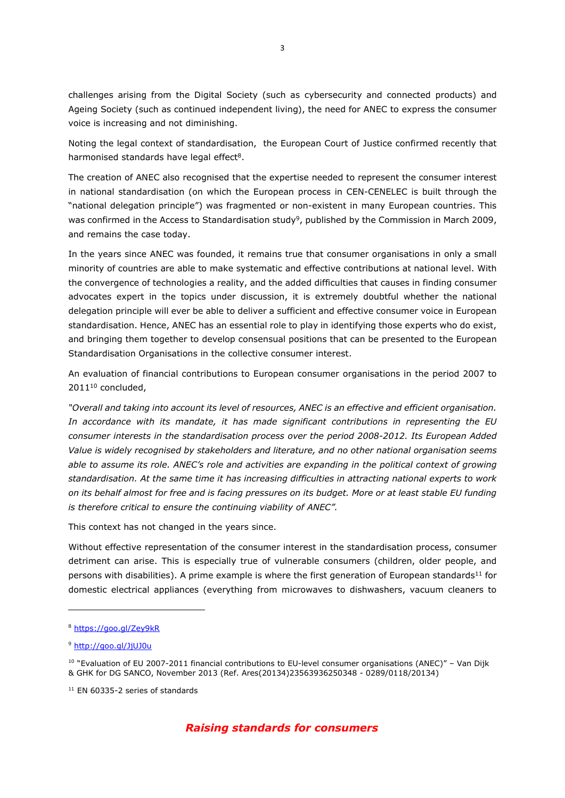challenges arising from the Digital Society (such as cybersecurity and connected products) and Ageing Society (such as continued independent living), the need for ANEC to express the consumer voice is increasing and not diminishing.

Noting the legal context of standardisation, the European Court of Justice confirmed recently that harmonised standards have legal effect<sup>8</sup>.

The creation of ANEC also recognised that the expertise needed to represent the consumer interest in national standardisation (on which the European process in CEN-CENELEC is built through the "national delegation principle") was fragmented or non-existent in many European countries. This was confirmed in the Access to Standardisation study<sup>9</sup>, published by the Commission in March 2009, and remains the case today.

In the years since ANEC was founded, it remains true that consumer organisations in only a small minority of countries are able to make systematic and effective contributions at national level. With the convergence of technologies a reality, and the added difficulties that causes in finding consumer advocates expert in the topics under discussion, it is extremely doubtful whether the national delegation principle will ever be able to deliver a sufficient and effective consumer voice in European standardisation. Hence, ANEC has an essential role to play in identifying those experts who do exist, and bringing them together to develop consensual positions that can be presented to the European Standardisation Organisations in the collective consumer interest.

An evaluation of financial contributions to European consumer organisations in the period 2007 to 2011<sup>10</sup> concluded,

*"Overall and taking into account its level of resources, ANEC is an effective and efficient organisation. In accordance with its mandate, it has made significant contributions in representing the EU consumer interests in the standardisation process over the period 2008-2012. Its European Added Value is widely recognised by stakeholders and literature, and no other national organisation seems able to assume its role. ANEC's role and activities are expanding in the political context of growing standardisation. At the same time it has increasing difficulties in attracting national experts to work on its behalf almost for free and is facing pressures on its budget. More or at least stable EU funding is therefore critical to ensure the continuing viability of ANEC".*

This context has not changed in the years since.

Without effective representation of the consumer interest in the standardisation process, consumer detriment can arise. This is especially true of vulnerable consumers (children, older people, and persons with disabilities). A prime example is where the first generation of European standards<sup>11</sup> for domestic electrical appliances (everything from microwaves to dishwashers, vacuum cleaners to

1

<sup>8</sup> https://goo.gl/Zey9kR

<sup>9</sup> http://goo.gl/JjUJ0u

 $10$  "Evaluation of EU 2007-2011 financial contributions to EU-level consumer organisations (ANEC)" – Van Dijk & GHK for DG SANCO, November 2013 (Ref. Ares(20134)23563936250348 - 0289/0118/20134)

<sup>&</sup>lt;sup>11</sup> EN 60335-2 series of standards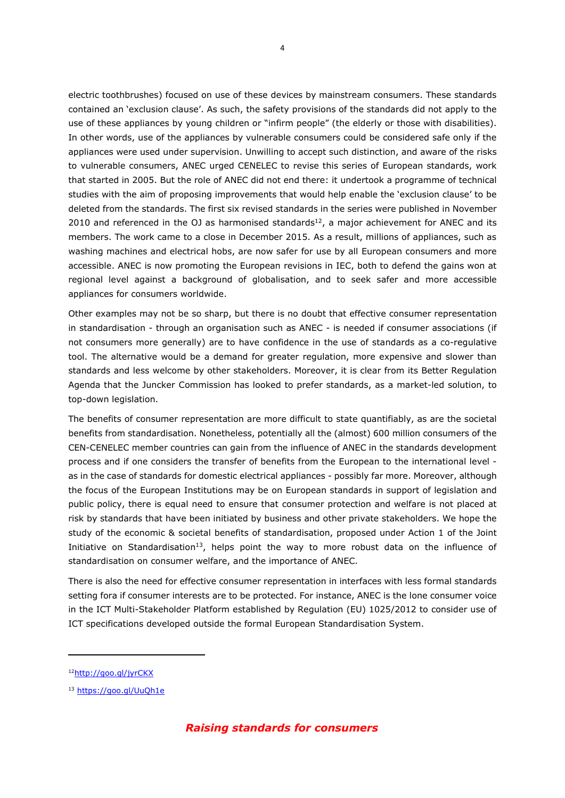electric toothbrushes) focused on use of these devices by mainstream consumers. These standards contained an 'exclusion clause'. As such, the safety provisions of the standards did not apply to the use of these appliances by young children or "infirm people" (the elderly or those with disabilities). In other words, use of the appliances by vulnerable consumers could be considered safe only if the appliances were used under supervision. Unwilling to accept such distinction, and aware of the risks to vulnerable consumers, ANEC urged CENELEC to revise this series of European standards, work that started in 2005. But the role of ANEC did not end there: it undertook a programme of technical studies with the aim of proposing improvements that would help enable the 'exclusion clause' to be deleted from the standards. The first six revised standards in the series were published in November 2010 and referenced in the OJ as harmonised standards $12$ , a major achievement for ANEC and its members. The work came to a close in December 2015. As a result, millions of appliances, such as washing machines and electrical hobs, are now safer for use by all European consumers and more accessible. ANEC is now promoting the European revisions in IEC, both to defend the gains won at regional level against a background of globalisation, and to seek safer and more accessible appliances for consumers worldwide.

Other examples may not be so sharp, but there is no doubt that effective consumer representation in standardisation - through an organisation such as ANEC - is needed if consumer associations (if not consumers more generally) are to have confidence in the use of standards as a co-regulative tool. The alternative would be a demand for greater regulation, more expensive and slower than standards and less welcome by other stakeholders. Moreover, it is clear from its Better Regulation Agenda that the Juncker Commission has looked to prefer standards, as a market-led solution, to top-down legislation.

The benefits of consumer representation are more difficult to state quantifiably, as are the societal benefits from standardisation. Nonetheless, potentially all the (almost) 600 million consumers of the CEN-CENELEC member countries can gain from the influence of ANEC in the standards development process and if one considers the transfer of benefits from the European to the international level as in the case of standards for domestic electrical appliances - possibly far more. Moreover, although the focus of the European Institutions may be on European standards in support of legislation and public policy, there is equal need to ensure that consumer protection and welfare is not placed at risk by standards that have been initiated by business and other private stakeholders. We hope the study of the economic & societal benefits of standardisation, proposed under Action 1 of the Joint Initiative on Standardisation<sup>13</sup>, helps point the way to more robust data on the influence of standardisation on consumer welfare, and the importance of ANEC.

There is also the need for effective consumer representation in interfaces with less formal standards setting fora if consumer interests are to be protected. For instance, ANEC is the lone consumer voice in the ICT Multi-Stakeholder Platform established by Regulation (EU) 1025/2012 to consider use of ICT specifications developed outside the formal European Standardisation System.

**.** 

<sup>12</sup>http://goo.gl/jyrCKX

<sup>13</sup> https://goo.gl/UuQh1e